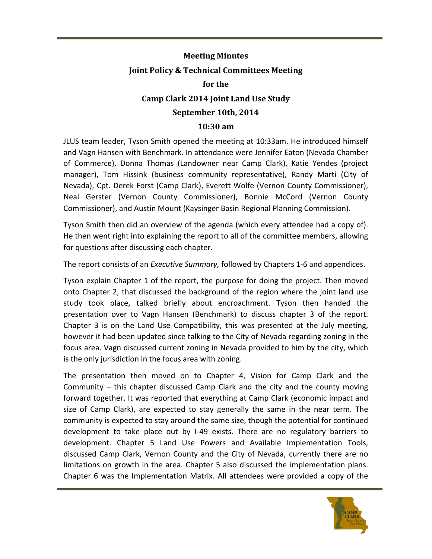## **Meeting Minutes Joint Policy & Technical Committees Meeting for the Camp Clark 2014 Joint Land Use Study** September 10th, 2014

## **10:30 am**

JLUS team leader, Tyson Smith opened the meeting at 10:33am. He introduced himself and Vagn Hansen with Benchmark. In attendance were Jennifer Eaton (Nevada Chamber of Commerce), Donna Thomas (Landowner near Camp Clark), Katie Yendes (project manager), Tom Hissink (business community representative), Randy Marti (City of Nevada), Cpt. Derek Forst (Camp Clark), Everett Wolfe (Vernon County Commissioner), Neal Gerster (Vernon County Commissioner), Bonnie McCord (Vernon County Commissioner), and Austin Mount (Kaysinger Basin Regional Planning Commission).

Tyson Smith then did an overview of the agenda (which every attendee had a copy of). He then went right into explaining the report to all of the committee members, allowing for questions after discussing each chapter.

The report consists of an *Executive Summary*, followed by Chapters 1-6 and appendices.

Tyson explain Chapter 1 of the report, the purpose for doing the project. Then moved onto Chapter 2, that discussed the background of the region where the joint land use study took place, talked briefly about encroachment. Tyson then handed the presentation over to Vagn Hansen (Benchmark) to discuss chapter 3 of the report. Chapter 3 is on the Land Use Compatibility, this was presented at the July meeting, however it had been updated since talking to the City of Nevada regarding zoning in the focus area. Vagn discussed current zoning in Nevada provided to him by the city, which is the only jurisdiction in the focus area with zoning.

The presentation then moved on to Chapter 4, Vision for Camp Clark and the Community  $-$  this chapter discussed Camp Clark and the city and the county moving forward together. It was reported that everything at Camp Clark (economic impact and size of Camp Clark), are expected to stay generally the same in the near term. The community is expected to stay around the same size, though the potential for continued development to take place out by I-49 exists. There are no regulatory barriers to development. Chapter 5 Land Use Powers and Available Implementation Tools, discussed Camp Clark, Vernon County and the City of Nevada, currently there are no limitations on growth in the area. Chapter 5 also discussed the implementation plans. Chapter 6 was the Implementation Matrix. All attendees were provided a copy of the